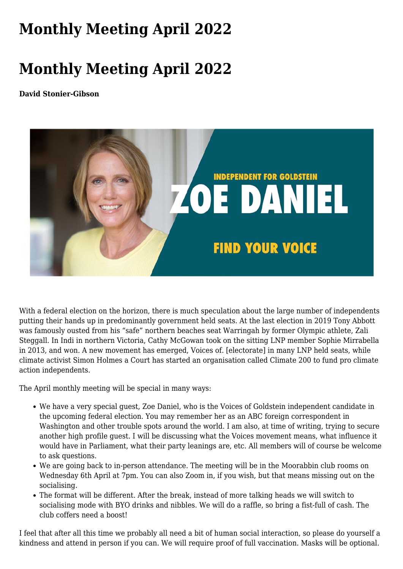## **[Monthly Meeting April 2022](https://www.melbpc.org.au/monthly-meeting-april-2022/)**

## **Monthly Meeting April 2022**

**David Stonier-Gibson**



With a federal election on the horizon, there is much speculation about the large number of independents putting their hands up in predominantly government held seats. At the last election in 2019 Tony Abbott was famously ousted from his "safe" northern beaches seat Warringah by former Olympic athlete, Zali Steggall. In Indi in northern Victoria, Cathy McGowan took on the sitting LNP member Sophie Mirrabella in 2013, and won. A new movement has emerged, Voices of. [electorate] in many LNP held seats, while climate activist Simon Holmes a Court has started an organisation called Climate 200 to fund pro climate action independents.

The April monthly meeting will be special in many ways:

- We have a very special guest, Zoe Daniel, who is the Voices of Goldstein independent candidate in the upcoming federal election. You may remember her as an ABC foreign correspondent in Washington and other trouble spots around the world. I am also, at time of writing, trying to secure another high profile guest. I will be discussing what the Voices movement means, what influence it would have in Parliament, what their party leanings are, etc. All members will of course be welcome to ask questions.
- We are going back to in-person attendance. The meeting will be in the Moorabbin club rooms on Wednesday 6th April at 7pm. You can also Zoom in, if you wish, but that means missing out on the socialising.
- The format will be different. After the break, instead of more talking heads we will switch to socialising mode with BYO drinks and nibbles. We will do a raffle, so bring a fist-full of cash. The club coffers need a boost!

I feel that after all this time we probably all need a bit of human social interaction, so please do yourself a kindness and attend in person if you can. We will require proof of full vaccination. Masks will be optional.